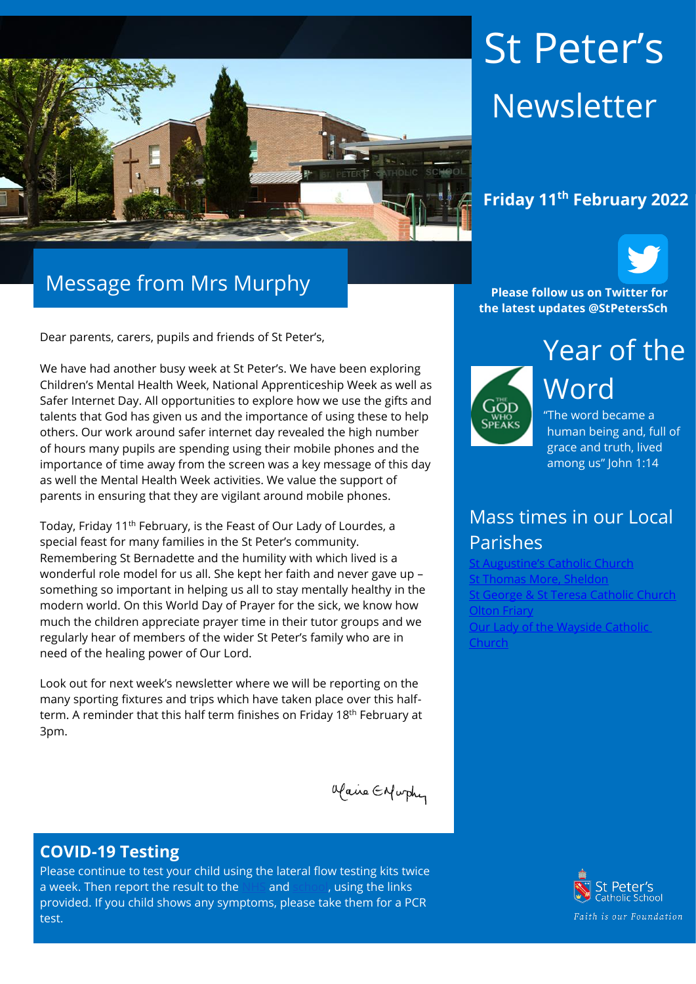

# Message from Mrs Murphy

Dear parents, carers, pupils and friends of St Peter's,

We have had another busy week at St Peter's. We have been exploring Children's Mental Health Week, National Apprenticeship Week as well as Safer Internet Day. All opportunities to explore how we use the gifts and talents that God has given us and the importance of using these to help others. Our work around safer internet day revealed the high number of hours many pupils are spending using their mobile phones and the importance of time away from the screen was a key message of this day as well the Mental Health Week activities. We value the support of parents in ensuring that they are vigilant around mobile phones.

Today, Friday 11th February, is the Feast of Our Lady of Lourdes, a special feast for many families in the St Peter's community. Remembering St Bernadette and the humility with which lived is a wonderful role model for us all. She kept her faith and never gave up – something so important in helping us all to stay mentally healthy in the modern world. On this World Day of Prayer for the sick, we know how much the children appreciate prayer time in their tutor groups and we regularly hear of members of the wider St Peter's family who are in need of the healing power of Our Lord.

Look out for next week's newsletter where we will be reporting on the many sporting fixtures and trips which have taken place over this halfterm. A reminder that this half term finishes on Friday 18th February at 3pm.

Maire Enfurthy

#### **COVID-19 Testing**

Please continue to test your child using the lateral flow testing kits twice a week. Then report the result to the [NHS](https://protect-eu.mimecast.com/s/FGTjCkrj2Uql2qC2sec8?domain=gov.uk) and [school,](https://protect-eu.mimecast.com/s/0JpMCl2kRSzGRzf9XFat?domain=forms.office.com) using the links provided. If you child shows any symptoms, please take them for a PCR test.

# St Peter's Newsletter

## **Friday 11th February 2022**



**Please follow us on Twitter for the latest updates @StPetersSch**



Year of the Word "The word became a

human being and, full of grace and truth, lived among us" John 1:14

## Mass times in our Local Parishes

Catholic Church [St Thomas More, Sheldon](https://www.stthomasmorercchurch.com/) **[St George & St Teresa Catholic Church](https://www.catholicchurch.dorridge.uk/)** [Olton Friary](https://www.oltonfriary.org.uk/) [Our Lady of the Wayside Catholic](http://ourladyofthewaysidechurchshirley.co.uk/)  [Church](http://ourladyofthewaysidechurchshirley.co.uk/)

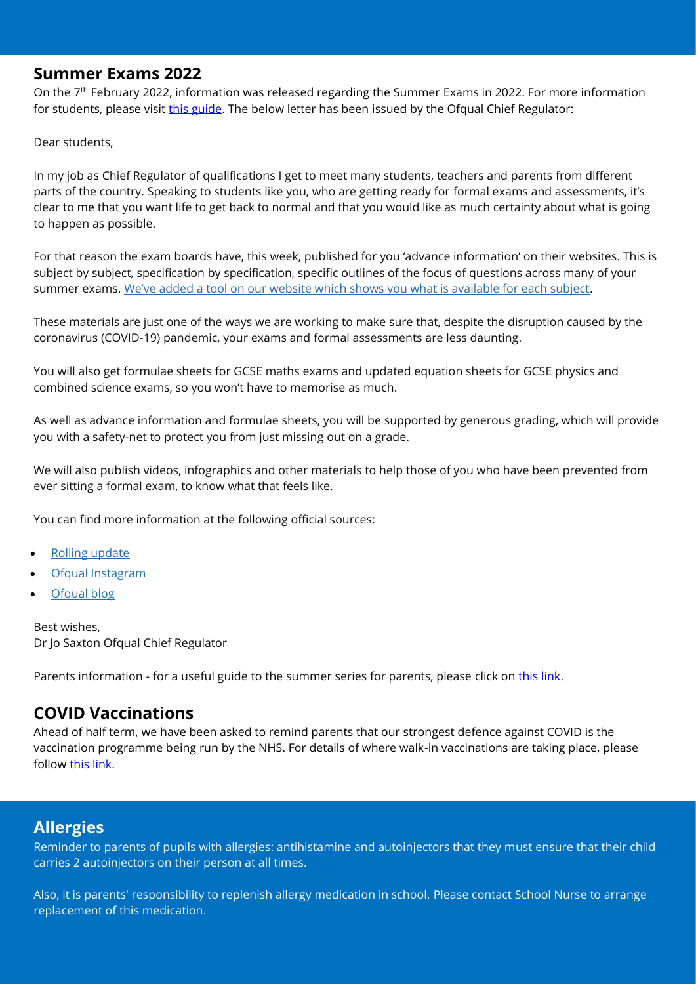#### **Summer Exams 2022**

On the 7<sup>th</sup> February 2022, information was released regarding the Summer Exams in 2022. For more information for students, please visit [this guide.](https://www.jcq.org.uk/wp-content/uploads/2022/02/JCQ_Advance-Information-Student-Guide.pdf?utm_medium=email&utm_source=govdelivery) The below letter has been issued by the Ofqual Chief Regulator:

Dear students,

In my job as Chief Regulator of qualifications I get to meet many students, teachers and parents from different parts of the country. Speaking to students like you, who are getting ready for formal exams and assessments, it's clear to me that you want life to get back to normal and that you would like as much certainty about what is going to happen as possible.

For that reason the exam boards have, this week, published for you 'advance information' on their websites. This is subject by subject, specification by specification, specific outlines of the focus of questions across many of your summer exams. [We've added a tool on our website which shows you what is available for each subject](https://www.gov.uk/guidance/subject-by-subject-support-for-gcse-as-and-a-level-students-in-2022?utm_source=letter_to_schools_colleges_7_feb_2022&utm_medium=email&utm_campaign=advance_information).

These materials are just one of the ways we are working to make sure that, despite the disruption caused by the coronavirus (COVID-19) pandemic, your exams and formal assessments are less daunting.

You will also get formulae sheets for GCSE maths exams and updated equation sheets for GCSE physics and combined science exams, so you won't have to memorise as much.

As well as advance information and formulae sheets, you will be supported by generous grading, which will provide you with a safety-net to protect you from just missing out on a grade.

We will also publish videos, infographics and other materials to help those of you who have been prevented from ever sitting a formal exam, to know what that feels like.

You can find more information at the following official sources:

- [Rolling update](https://www.gov.uk/guidance/ofqual-rolling-update?utm_source=letter_to_schools_colleges_7_feb_2022&utm_medium=email&utm_campaign=advance_information)
- [Ofqual Instagram](https://www.instagram.com/ofqual/?hl=en&utm_source=letter_to_schools_colleges_7_feb_2022&utm_medium=email&utm_campaign=advance_information)
- [Ofqual blog](https://ofqual.blog.gov.uk/?utm_source=letter_to_schools_colleges_7_feb_2022&utm_medium=email&utm_campaign=advance_information)

Best wishes, Dr Jo Saxton Ofqual Chief Regulator

Parents information - for a useful guide to the summer series for parents, please click on [this link.](https://www.gov.uk/guidance/subject-by-subject-support-for-gcse-as-and-a-level-students-in-2022?utm_source=letter_to_schools_colleges_7_feb_2022&utm_medium=email&utm_campaign=advance_information)

### **COVID Vaccinations**

Ahead of half term, we have been asked to remind parents that our strongest defence against COVID is the vaccination programme being run by the NHS. For details of where walk-in vaccinations are taking place, please follow [this link.](https://www.nhs.uk/conditions/coronavirus-covid-19/coronavirus-vaccination/find-a-walk-in-coronavirus-covid-19-vaccination-site/)

### **Allergies**

Reminder to parents of pupils with allergies: antihistamine and autoinjectors that they must ensure that their child carries 2 autoinjectors on their person at all times.

Also, it is parents' responsibility to replenish allergy medication in school. Please contact School Nurse to arrange replacement of this medication.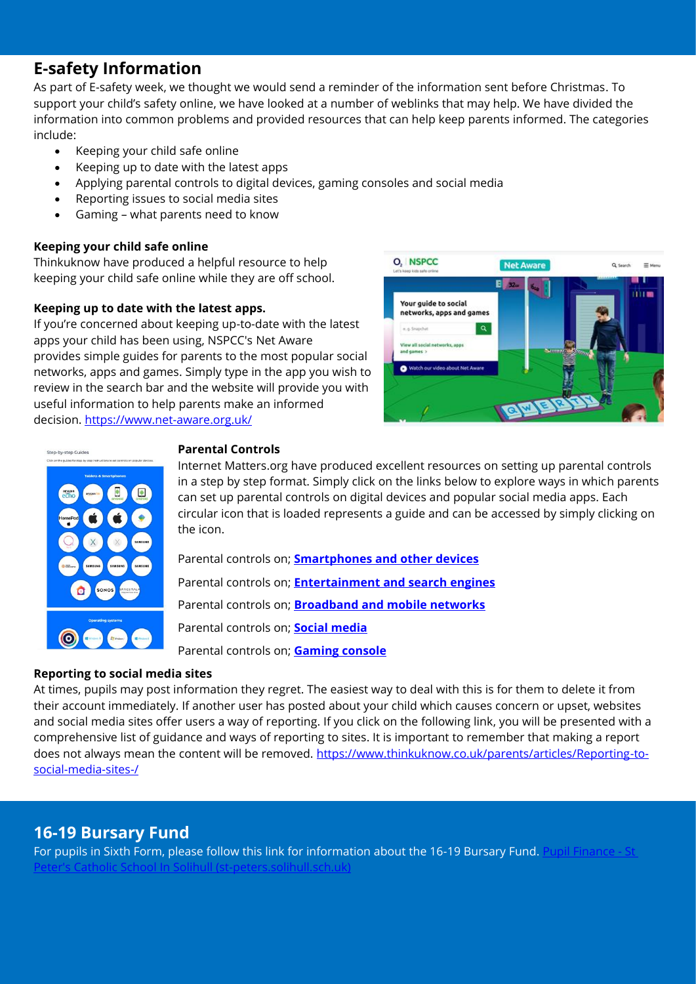## **E-safety Information**

As part of E-safety week, we thought we would send a reminder of the information sent before Christmas. To support your child's safety online, we have looked at a number of weblinks that may help. We have divided the information into common problems and provided resources that can help keep parents informed. The categories include:

- Keeping your child safe online
- Keeping up to date with the latest apps
- Applying parental controls to digital devices, gaming consoles and social media
- Reporting issues to social media sites
- Gaming what parents need to know

#### **Keeping your child safe online**

Thinkuknow have produced a helpful resource to help keeping your child safe online while they are off school.

#### **Keeping up to date with the latest apps.**

If you're concerned about keeping up-to-date with the latest apps your child has been using, NSPCC's Net Aware provides simple guides for parents to the most popular social networks, apps and games. Simply type in the app you wish to review in the search bar and the website will provide you with useful information to help parents make an informed decision.<https://www.net-aware.org.uk/>





#### **Parental Controls**

Internet Matters.org have produced excellent resources on setting up parental controls in a step by step format. Simply click on the links below to explore ways in which parents can set up parental controls on digital devices and popular social media apps. Each circular icon that is loaded represents a guide and can be accessed by simply clicking on the icon.

Parental controls on; **[Smartphones and other devices](https://www.internetmatters.org/parental-controls/smartphones-and-other-devices/)** Parental controls on; **[Entertainment and search engines](https://www.internetmatters.org/blog/parental-controls/entertainment-search-engines/)** Parental controls on; **[Broadband and mobile networks](https://www.internetmatters.org/parental-controls/broadband-mobile/)** Parental controls on; **[Social media](https://www.internetmatters.org/blog/parental-controls/social-media/)** Parental controls on; **[Gaming console](https://www.internetmatters.org/blog/parental-controls/gaming-consoles/)**

#### **Reporting to social media sites**

At times, pupils may post information they regret. The easiest way to deal with this is for them to delete it from their account immediately. If another user has posted about your child which causes concern or upset, websites and social media sites offer users a way of reporting. If you click on the following link, you will be presented with a comprehensive list of guidance and ways of reporting to sites. It is important to remember that making a report does not always mean the content will be removed. [https://www.thinkuknow.co.uk/parents/articles/Reporting-to](https://www.thinkuknow.co.uk/parents/articles/Reporting-to-social-media-sites-/)[social-media-sites-/](https://www.thinkuknow.co.uk/parents/articles/Reporting-to-social-media-sites-/)

## **16-19 Bursary Fund**

For pupils in Sixth Form, please follow this link for information about the 16-19 Bursary Fund. [Pupil Finance -](https://www.st-peters.solihull.sch.uk/sixth-form-home/pupil-finance/) St [Peter's Catholic School In Solihull \(st-peters.solihull.sch.uk\)](https://www.st-peters.solihull.sch.uk/sixth-form-home/pupil-finance/)